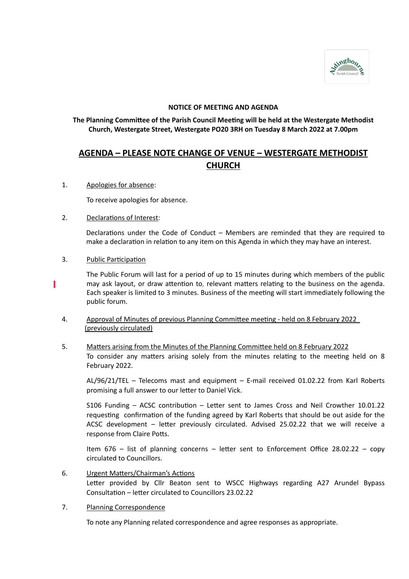

# **NOTICE OF MEETING AND AGENDA**

# **The Planning Committee of the Parish Council Meeting will be held at the Westergate Methodist Church, Westergate Street, Westergate PO20 3RH on Tuesday 8 March 2022 at 7.00pm**

# **AGENDA – PLEASE NOTE CHANGE OF VENUE – WESTERGATE METHODIST CHURCH**

1. Apologies for absence:

To receive apologies for absence.

#### 2. Declarations of Interest:

Declarations under the Code of Conduct – Members are reminded that they are required to make a declaration in relation to any item on this Agenda in which they may have an interest.

3. Public Participation

The Public Forum will last for a period of up to 15 minutes during which members of the public may ask layout, or draw attention to, relevant matters relating to the business on the agenda. Each speaker is limited to 3 minutes. Business of the meeting will start immediately following the public forum.

- 4. Approval of Minutes of previous Planning Committee meeting held on 8 February 2022 (previously circulated)
- 5. Matters arising from the Minutes of the Planning Committee held on 8 February 2022 To consider any matters arising solely from the minutes relating to the meeting held on 8 February 2022.

AL/96/21/TEL – Telecoms mast and equipment – E-mail received 01.02.22 from Karl Roberts promising a full answer to our letter to Daniel Vick.

S106 Funding – ACSC contribution – Letter sent to James Cross and Neil Crowther 10.01.22 requesting confirmation of the funding agreed by Karl Roberts that should be out aside for the ACSC development – letter previously circulated. Advised 25.02.22 that we will receive a response from Claire Potts.

Item 676 – list of planning concerns – letter sent to Enforcement Office 28.02.22 – copy circulated to Councillors.

- 6. Urgent Matters/Chairman's Actions Letter provided by Cllr Beaton sent to WSCC Highways regarding A27 Arundel Bypass Consultation – letter circulated to Councillors 23.02.22
- 7. Planning Correspondence

To note any Planning related correspondence and agree responses as appropriate.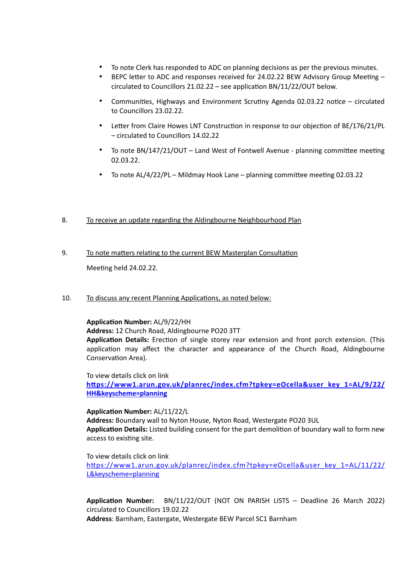- To note Clerk has responded to ADC on planning decisions as per the previous minutes.
- BEPC letter to ADC and responses received for 24.02.22 BEW Advisory Group Meeting circulated to Councillors 21.02.22 – see application BN/11/22/OUT below.
- Communities, Highways and Environment Scrutiny Agenda 02.03.22 notice circulated to Councillors 23.02.22.
- Letter from Claire Howes LNT Construction in response to our objection of BE/176/21/PL – circulated to Councillors 14.02.22
- To note BN/147/21/OUT Land West of Fontwell Avenue planning committee meeting 02.03.22.
- To note AL/4/22/PL Mildmay Hook Lane planning committee meeting 02.03.22

# 8. To receive an update regarding the Aldingbourne Neighbourhood Plan

- 9. To note matters relating to the current BEW Masterplan Consultation Meeting held 24.02.22.
- 10. To discuss any recent Planning Applications, as noted below:

# **Application Number:** AL/9/22/HH

**Address:** 12 Church Road, Aldingbourne PO20 3TT

**Application Details:** Erection of single storey rear extension and front porch extension. (This application may affect the character and appearance of the Church Road, Aldingbourne Conservation Area).

To view details click on link

**[https://www1.arun.gov.uk/planrec/index.cfm?tpkey=eOcella&user\\_key\\_1=AL/9/22/](https://www1.arun.gov.uk/planrec/index.cfm?tpkey=eOcella&user_key_1=AL/9/22/HH&keyscheme=planning) [HH&keyscheme=planning](https://www1.arun.gov.uk/planrec/index.cfm?tpkey=eOcella&user_key_1=AL/9/22/HH&keyscheme=planning)** 

**Application Number:** AL/11/22/L

**Address:** Boundary wall to Nyton House, Nyton Road, Westergate PO20 3UL **Application Details:** Listed building consent for the part demolition of boundary wall to form new access to existing site.

To view details click on link

[https://www1.arun.gov.uk/planrec/index.cfm?tpkey=eOcella&user\\_key\\_1=AL/11/22/](https://www1.arun.gov.uk/planrec/index.cfm?tpkey=eOcella&user_key_1=AL/11/22/L&keyscheme=planning) [L&keyscheme=planning](https://www1.arun.gov.uk/planrec/index.cfm?tpkey=eOcella&user_key_1=AL/11/22/L&keyscheme=planning)

**Application Number:** BN/11/22/OUT (NOT ON PARISH LISTS – Deadline 26 March 2022) circulated to Councillors 19.02.22 **Address**: Barnham, Eastergate, Westergate BEW Parcel SC1 Barnham